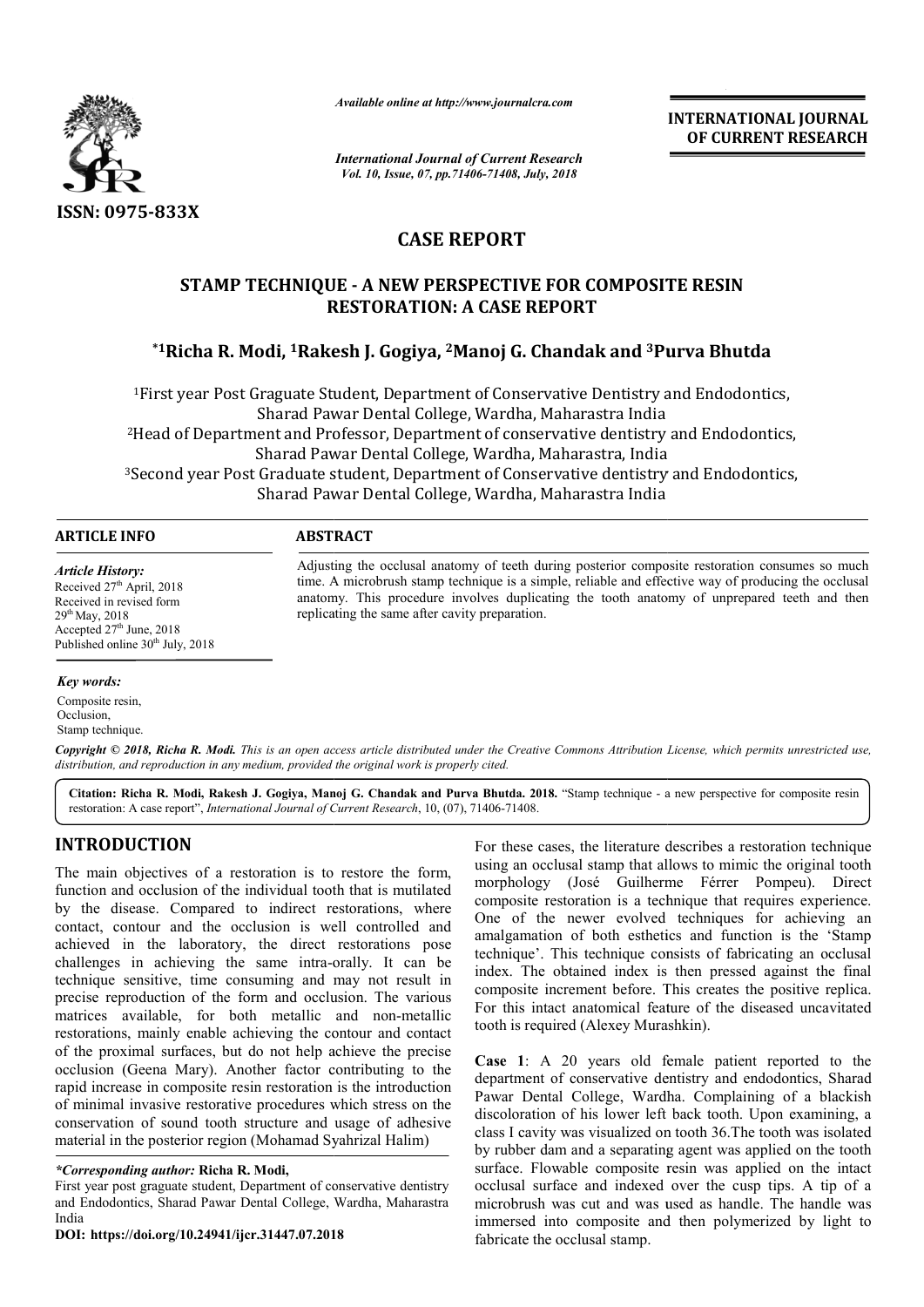

*Available online at http://www.journalcra.com*

*International Journal of Current Research Vol. 10, Issue, 07, pp.71406-71408, July, 2018*

**INTERNATIONAL JOURNAL OF CURRENT RESEARCH**

# **CASE REPORT**

## **STAMP TECHNIQUE - A NEW PERSPECTIVE FOR COMPOSITE R RESIN RESTORATION: A CASE REPORT**

# $^*$ 1Richa R. Modi, <sup>1</sup>Rakesh J. Gogiya, <sup>2</sup>Manoj G. Chandak and <sup>3</sup>Purva Bhutda

<sup>1</sup>First year Post Graguate Student, Department of Conservative Dentistry and Endodontics, Sharad Pawar Dental College, Wardha, Maharastra India <sup>2</sup>Head of Department and Professor, Department of conservative dentistry and Endodontics, Sharad Pawar Dental College, Wardha, Maharastra, India <sup>3</sup>Second year Post Graduate student, Department of Conservative dentistry and Endodontics, Sharad Pawar Dental College, Wardha, Maharastra India

## **ARTICLE INFO ABSTRACT**

*Article History:* Received 27<sup>th</sup> April, 2018 Received in revised form 29th May, 2018 Accepted  $27<sup>th</sup>$  June, 2018 Published online  $30<sup>th</sup>$  July, 2018

Adjusting the occlusal anatomy of teeth during posterior composite restoration consumes so much time. A microbrush stamp technique is a simple, reliable and effective way of producing the occlusal anatomy. This procedure involves duplicating the tooth anatomy of unprepared teeth and then replicating the same after cavity preparation. Adjusting the occlusal anatomy of teeth during posterior composite restoration consumes so much<br>time. A microbrush stamp technique is a simple, reliable and effective way of producing the occlusal<br>anatomy. This procedure i

#### *Key words:*

Composite resin, Occlusion, Stamp technique.

Copyright © 2018, Richa R. Modi. This is an open access article distributed under the Creative Commons Attribution License, which permits unrestricted use, *distribution, and reproduction in any medium, provided the original work is properly cited.*

Citation: Richa R. Modi, Rakesh J. Gogiya, Manoj G. Chandak and Purva Bhutda. 2018. "Stamp technique - a new perspective for composite resin restoration: A case report", *International Journal of Current Research* , 10, (07), 71406-71408.

## **INTRODUCTION**

The main objectives of a restoration is to restore the form, function and occlusion of the individual tooth that is mutilated by the disease. Compared to indirect restorations, where contact, contour and the occlusion is well controlled and achieved in the laboratory, the direct restorations pose challenges in achieving the same intra-orally. It can be technique sensitive, time consuming and may not result in precise reproduction of the form and occlusion. The various matrices available, for both metallic and non-metallic restorations, mainly enable achieving the contour and contact of the proximal surfaces, but do not help achieve the precise occlusion (Geena Mary). Another factor contributing to the rapid increase in composite resin restoration is the introduction of minimal invasive restorative procedures which stress on the conservation of sound tooth structure and usage of adhesive material in the posterior region (Mohamad Syahrizal Halim) intra-orally. It can be<br>g and may not result in<br>d occlusion. The various<br>tallic and non-metallic

#### *\*Corresponding author:* **Richa R. Modi,**

First year post graguate student, Department of conservative dentistry and Endodontics, Sharad Pawar Dental College, Wardha, Maharastra India

**DOI: https://doi.org/10.24941/ijcr.31447.07.2018**

For these cases, the literature describes a restoration technique<br>
al tooth that is mutilated morphology (José Guilherme Férrer Pompeu). Direct<br>
and tooth that is mutilated morphology (José Guilherme Férrer Pompeu). Direct using an occlusal stamp that allows to mimic the original tooth morphology (José Guilherme Férrer Pompeu composite restoration is a technique that requires experience. One of the newer evolved techniques for achieving an amalgamation of both esthetics and function is the 'Stamp technique'. This technique consists of fabricating an occlusal index. The obtained index is then pressed against the final composite increment before. This creates the positive replica. For this intact anatomical feature of the diseased uncavitated tooth is required (Alexey Murashkin). For these cases, the literature describes a restoration technique<br>using an occlusal stamp that allows to mimic the original tooth<br>morphology (José Guilherme Férrer Pompeu). Direct composite restoration is a technique that requires experience.<br>One of the newer evolved techniques for achieving an<br>amalgamation of both esthetics and function is the 'Stamp<br>technique'. This technique consists of fabricati **EXEREM ANDIFFERENT RESEARCH COLLER COLLER COLLER COLLER COLLER COLLER COLLER COLLER CONSTRANCE CONSTRANCE CONSTRANCE COLLER COLLER COLLER COLLER COLLER CONSTRANCE CONSTRANCE CONSTRANCE CONSTRANCE CONSTRANCE CONSTRANCE CON** 

**Case 1**: A 20 years old female patient reported to the department of conservative dentistry and endodontics, Sharad Pawar Dental College, Wardha. Complaining of a blackish discoloration of his lower left back tooth. Upon examining, a class I cavity was visualized on tooth 36.The tooth was isolated by rubber dam and a separating agent was applied on the tooth surface. Flowable composite resin was applied on the intact occlusal surface and indexed over the cusp tips. A tip of a microbrush was cut and was used as handle. The handle was immersed into composite and then polymerized by light to fabricate the occlusal stamp.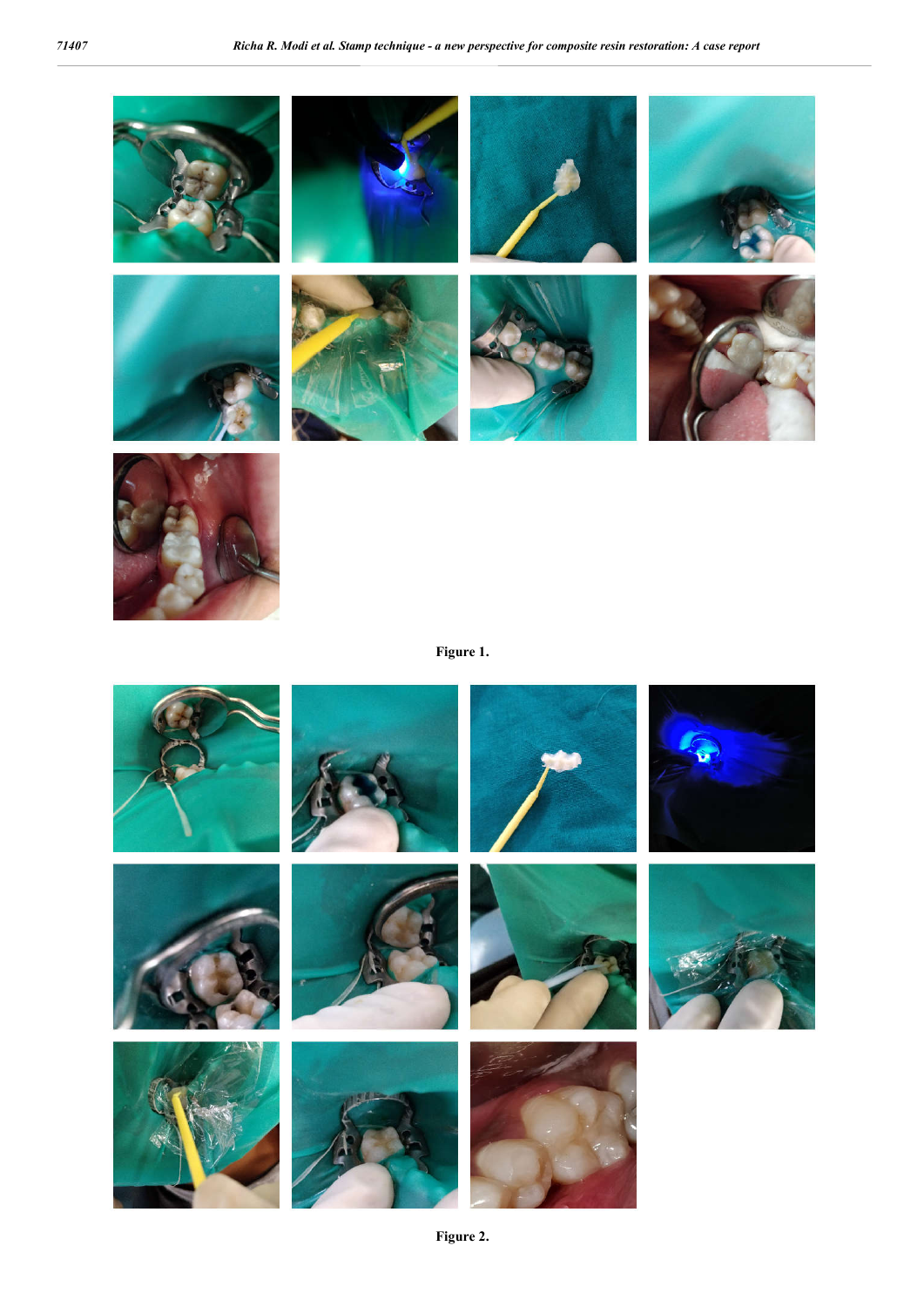